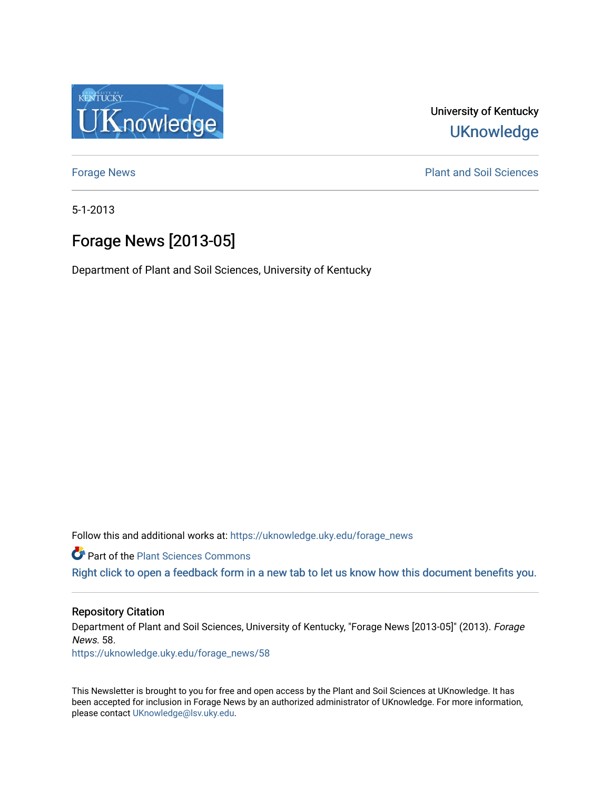

University of Kentucky **UKnowledge** 

[Forage News](https://uknowledge.uky.edu/forage_news) **Plant and Soil Sciences** 

5-1-2013

# Forage News [2013-05]

Department of Plant and Soil Sciences, University of Kentucky

Follow this and additional works at: [https://uknowledge.uky.edu/forage\\_news](https://uknowledge.uky.edu/forage_news?utm_source=uknowledge.uky.edu%2Fforage_news%2F58&utm_medium=PDF&utm_campaign=PDFCoverPages)

**Part of the [Plant Sciences Commons](http://network.bepress.com/hgg/discipline/102?utm_source=uknowledge.uky.edu%2Fforage_news%2F58&utm_medium=PDF&utm_campaign=PDFCoverPages)** 

[Right click to open a feedback form in a new tab to let us know how this document benefits you.](https://uky.az1.qualtrics.com/jfe/form/SV_9mq8fx2GnONRfz7)

## Repository Citation

Department of Plant and Soil Sciences, University of Kentucky, "Forage News [2013-05]" (2013). Forage News. 58.

[https://uknowledge.uky.edu/forage\\_news/58](https://uknowledge.uky.edu/forage_news/58?utm_source=uknowledge.uky.edu%2Fforage_news%2F58&utm_medium=PDF&utm_campaign=PDFCoverPages) 

This Newsletter is brought to you for free and open access by the Plant and Soil Sciences at UKnowledge. It has been accepted for inclusion in Forage News by an authorized administrator of UKnowledge. For more information, please contact [UKnowledge@lsv.uky.edu.](mailto:UKnowledge@lsv.uky.edu)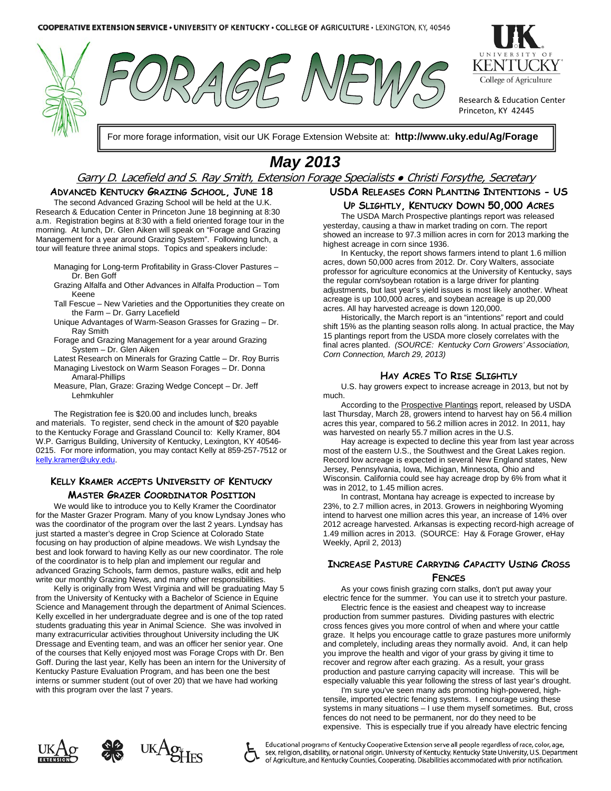





Research & Education Center Princeton, KY 42445

For more forage information, visit our UK Forage Extension Website at: **http://www.uky.edu/Ag/Forage**

# *May 2013*

## Garry D. Lacefield and S. Ray Smith, Extension Forage Specialists • Christi Forsythe, Secretary

### **ADVANCED KENTUCKY GRAZING SCHOOL, JUNE 18**

The second Advanced Grazing School will be held at the U.K. Research & Education Center in Princeton June 18 beginning at 8:30 a.m. Registration begins at 8:30 with a field oriented forage tour in the morning. At lunch, Dr. Glen Aiken will speak on "Forage and Grazing Management for a year around Grazing System". Following lunch, a tour will feature three animal stops. Topics and speakers include:

- Managing for Long-term Profitability in Grass-Clover Pastures Dr. Ben Goff
- Grazing Alfalfa and Other Advances in Alfalfa Production Tom Keene
- Tall Fescue New Varieties and the Opportunities they create on the Farm – Dr. Garry Lacefield
- Unique Advantages of Warm-Season Grasses for Grazing Dr. Ray Smith
- Forage and Grazing Management for a year around Grazing System – Dr. Glen Aiken
- Latest Research on Minerals for Grazing Cattle Dr. Roy Burris Managing Livestock on Warm Season Forages – Dr. Donna Amaral-Phillips
- Measure, Plan, Graze: Grazing Wedge Concept Dr. Jeff Lehmkuhler

The Registration fee is \$20.00 and includes lunch, breaks and materials. To register, send check in the amount of \$20 payable to the Kentucky Forage and Grassland Council to: Kelly Kramer, 804 W.P. Garrigus Building, University of Kentucky, Lexington, KY 40546- 0215. For more information, you may contact Kelly at 859-257-7512 or [kelly.kramer@uky.edu.](mailto:kelly.kramer@uky.edu) 

## **KELLY KRAMER ACCEPTS UNIVERSITY OF KENTUCKY MASTER GRAZER COORDINATOR POSITION**

We would like to introduce you to Kelly Kramer the Coordinator for the Master Grazer Program. Many of you know Lyndsay Jones who was the coordinator of the program over the last 2 years. Lyndsay has just started a master's degree in Crop Science at Colorado State focusing on hay production of alpine meadows. We wish Lyndsay the best and look forward to having Kelly as our new coordinator. The role of the coordinator is to help plan and implement our regular and advanced Grazing Schools, farm demos, pasture walks, edit and help write our monthly Grazing News, and many other responsibilities.

Kelly is originally from West Virginia and will be graduating May 5 from the University of Kentucky with a Bachelor of Science in Equine Science and Management through the department of Animal Sciences. Kelly excelled in her undergraduate degree and is one of the top rated students graduating this year in Animal Science. She was involved in many extracurricular activities throughout University including the UK Dressage and Eventing team, and was an officer her senior year. One of the courses that Kelly enjoyed most was Forage Crops with Dr. Ben Goff. During the last year, Kelly has been an intern for the University of Kentucky Pasture Evaluation Program, and has been one the best interns or summer student (out of over 20) that we have had working with this program over the last 7 years.

## **USDA RELEASES CORN PLANTING INTENTIONS - US UP SLIGHTLY, KENTUCKY DOWN 50,000 ACRES**

The USDA March Prospective plantings report was released yesterday, causing a thaw in market trading on corn. The report showed an increase to 97.3 million acres in corn for 2013 marking the highest acreage in corn since 1936.

In Kentucky, the report shows farmers intend to plant 1.6 million acres, down 50,000 acres from 2012. Dr. Cory Walters, associate professor for agriculture economics at the University of Kentucky, says the regular corn/soybean rotation is a large driver for planting adjustments, but last year's yield issues is most likely another. Wheat acreage is up 100,000 acres, and soybean acreage is up 20,000 acres. All hay harvested acreage is down 120,000.

Historically, the March report is an "intentions" report and could shift 15% as the planting season rolls along. In actual practice, the May 15 plantings report from the USDA more closely correlates with the final acres planted. *(SOURCE: Kentucky Corn Growers' Association, Corn Connection, March 29, 2013)*

## **HAY ACRES TO RISE SLIGHTLY**

U.S. hay growers expect to increase acreage in 2013, but not by much.

According to the [Prospective Plantings](http://usda01.library.cornell.edu/usda/current/ProsPlan/ProsPlan-03-28-2013_revision.txt) report, released by USDA last Thursday, March 28, growers intend to harvest hay on 56.4 million acres this year, compared to 56.2 million acres in 2012. In 2011, hay was harvested on nearly 55.7 million acres in the U.S.

Hay acreage is expected to decline this year from last year across most of the eastern U.S., the Southwest and the Great Lakes region. Record low acreage is expected in several New England states, New Jersey, Pennsylvania, Iowa, Michigan, Minnesota, Ohio and Wisconsin. California could see hay acreage drop by 6% from what it was in 2012, to 1.45 million acres.

In contrast, Montana hay acreage is expected to increase by 23%, to 2.7 million acres, in 2013. Growers in neighboring Wyoming intend to harvest one million acres this year, an increase of 14% over 2012 acreage harvested. Arkansas is expecting record-high acreage of 1.49 million acres in 2013. (SOURCE: Hay & Forage Grower, eHay Weekly, April 2, 2013)

## **INCREASE PASTURE CARRYING CAPACITY USING CROSS FENCES**

As your cows finish grazing corn stalks, don't put away your electric fence for the summer. You can use it to stretch your pasture.

Electric fence is the easiest and cheapest way to increase production from summer pastures. Dividing pastures with electric cross fences gives you more control of when and where your cattle graze. It helps you encourage cattle to graze pastures more uniformly and completely, including areas they normally avoid. And, it can help you improve the health and vigor of your grass by giving it time to recover and regrow after each grazing. As a result, your grass production and pasture carrying capacity will increase. This will be especially valuable this year following the stress of last year's drought.

I'm sure you've seen many ads promoting high-powered, hightensile, imported electric fencing systems. I encourage using these systems in many situations – I use them myself sometimes. But, cross fences do not need to be permanent, nor do they need to be expensive. This is especially true if you already have electric fencing







Educational programs of Kentucky Cooperative Extension serve all people regardless of race, color, age, sex, religion, disability, or national origin. University of Kentucky, Kentucky State University, U.S. Department of Agriculture, and Kentucky Counties, Cooperating. Disabilities accommodated with prior notification.